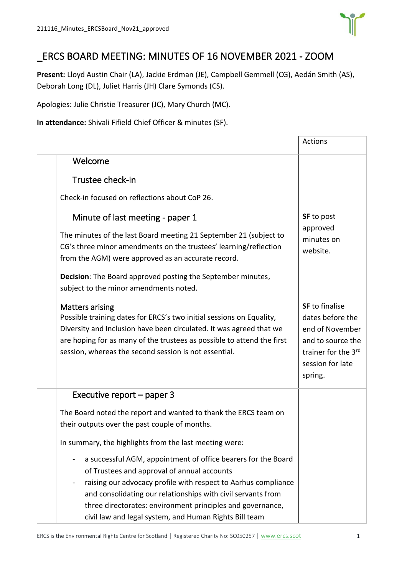

## \_ERCS BOARD MEETING: MINUTES OF 16 NOVEMBER 2021 - ZOOM

**Present:** Lloyd Austin Chair (LA), Jackie Erdman (JE), Campbell Gemmell (CG), Aedán Smith (AS), Deborah Long (DL), Juliet Harris (JH) Clare Symonds (CS).

Apologies: Julie Christie Treasurer (JC), Mary Church (MC).

**In attendance:** Shivali Fifield Chief Officer & minutes (SF).

|                                                                                                                                                                                                                                                                                                                                                                        | Actions                                                                                                                                 |
|------------------------------------------------------------------------------------------------------------------------------------------------------------------------------------------------------------------------------------------------------------------------------------------------------------------------------------------------------------------------|-----------------------------------------------------------------------------------------------------------------------------------------|
| Welcome                                                                                                                                                                                                                                                                                                                                                                |                                                                                                                                         |
| Trustee check-in                                                                                                                                                                                                                                                                                                                                                       |                                                                                                                                         |
| Check-in focused on reflections about CoP 26.                                                                                                                                                                                                                                                                                                                          |                                                                                                                                         |
| Minute of last meeting - paper 1<br>The minutes of the last Board meeting 21 September 21 (subject to<br>CG's three minor amendments on the trustees' learning/reflection<br>from the AGM) were approved as an accurate record.<br>Decision: The Board approved posting the September minutes,                                                                         | <b>SF</b> to post<br>approved<br>minutes on<br>website.                                                                                 |
| subject to the minor amendments noted.                                                                                                                                                                                                                                                                                                                                 |                                                                                                                                         |
| <b>Matters arising</b><br>Possible training dates for ERCS's two initial sessions on Equality,<br>Diversity and Inclusion have been circulated. It was agreed that we<br>are hoping for as many of the trustees as possible to attend the first<br>session, whereas the second session is not essential.                                                               | <b>SF</b> to finalise<br>dates before the<br>end of November<br>and to source the<br>trainer for the 3rd<br>session for late<br>spring. |
| Executive report $-$ paper 3                                                                                                                                                                                                                                                                                                                                           |                                                                                                                                         |
| The Board noted the report and wanted to thank the ERCS team on<br>their outputs over the past couple of months.                                                                                                                                                                                                                                                       |                                                                                                                                         |
| In summary, the highlights from the last meeting were:                                                                                                                                                                                                                                                                                                                 |                                                                                                                                         |
| a successful AGM, appointment of office bearers for the Board<br>of Trustees and approval of annual accounts<br>raising our advocacy profile with respect to Aarhus compliance<br>and consolidating our relationships with civil servants from<br>three directorates: environment principles and governance,<br>civil law and legal system, and Human Rights Bill team |                                                                                                                                         |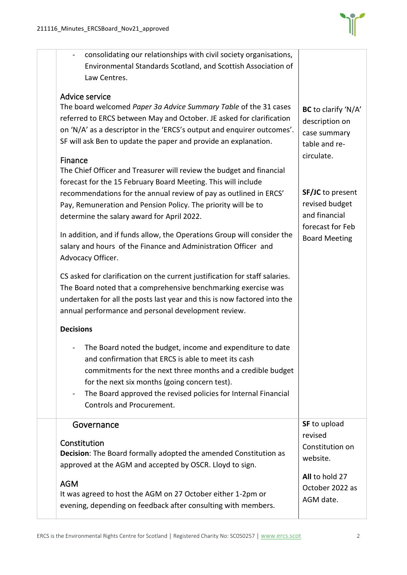

| consolidating our relationships with civil society organisations,<br>Environmental Standards Scotland, and Scottish Association of<br>Law Centres.                                                                                                                                                                                                                                                                                                                                |                                                                                                 |
|-----------------------------------------------------------------------------------------------------------------------------------------------------------------------------------------------------------------------------------------------------------------------------------------------------------------------------------------------------------------------------------------------------------------------------------------------------------------------------------|-------------------------------------------------------------------------------------------------|
| Advice service<br>The board welcomed Paper 3a Advice Summary Table of the 31 cases<br>referred to ERCS between May and October. JE asked for clarification<br>on 'N/A' as a descriptor in the 'ERCS's output and enquirer outcomes'.<br>SF will ask Ben to update the paper and provide an explanation.                                                                                                                                                                           | BC to clarify 'N/A'<br>description on<br>case summary<br>table and re-<br>circulate.            |
| Finance<br>The Chief Officer and Treasurer will review the budget and financial<br>forecast for the 15 February Board Meeting. This will include<br>recommendations for the annual review of pay as outlined in ERCS'<br>Pay, Remuneration and Pension Policy. The priority will be to<br>determine the salary award for April 2022.<br>In addition, and if funds allow, the Operations Group will consider the<br>salary and hours of the Finance and Administration Officer and | SF/JC to present<br>revised budget<br>and financial<br>forecast for Feb<br><b>Board Meeting</b> |
| Advocacy Officer.<br>CS asked for clarification on the current justification for staff salaries.<br>The Board noted that a comprehensive benchmarking exercise was<br>undertaken for all the posts last year and this is now factored into the<br>annual performance and personal development review.                                                                                                                                                                             |                                                                                                 |
| <b>Decisions</b><br>The Board noted the budget, income and expenditure to date<br>and confirmation that ERCS is able to meet its cash<br>commitments for the next three months and a credible budget<br>for the next six months (going concern test).<br>The Board approved the revised policies for Internal Financial<br>-<br>Controls and Procurement.                                                                                                                         |                                                                                                 |
| Governance<br>Constitution<br><b>Decision:</b> The Board formally adopted the amended Constitution as<br>approved at the AGM and accepted by OSCR. Lloyd to sign.                                                                                                                                                                                                                                                                                                                 | SF to upload<br>revised<br>Constitution on<br>website.<br>All to hold 27                        |
| <b>AGM</b><br>It was agreed to host the AGM on 27 October either 1-2pm or<br>evening, depending on feedback after consulting with members.                                                                                                                                                                                                                                                                                                                                        | October 2022 as<br>AGM date.                                                                    |